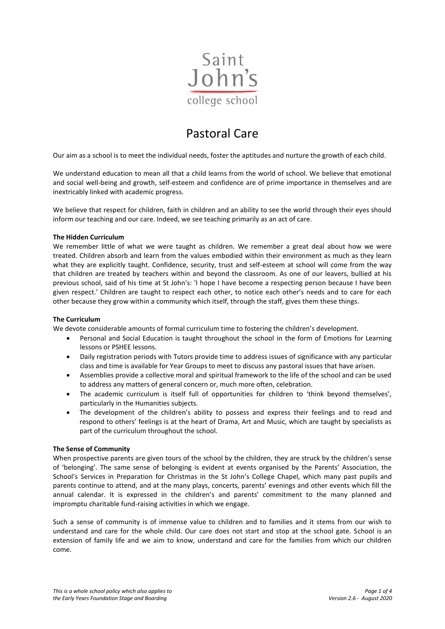

# Pastoral Care

Our aim as a school is to meet the individual needs, foster the aptitudes and nurture the growth of each child.

We understand education to mean all that a child learns from the world of school. We believe that emotional and social well-being and growth, self-esteem and confidence are of prime importance in themselves and are inextricably linked with academic progress.

We believe that respect for children, faith in children and an ability to see the world through their eyes should inform our teaching and our care. Indeed, we see teaching primarily as an act of care.

#### **The Hidden Curriculum**

We remember little of what we were taught as children. We remember a great deal about how we were treated. Children absorb and learn from the values embodied within their environment as much as they learn what they are explicitly taught. Confidence, security, trust and self-esteem at school will come from the way that children are treated by teachers within and beyond the classroom. As one of our leavers, bullied at his previous school, said of his time at St John's: 'I hope I have become a respecting person because I have been given respect.' Children are taught to respect each other, to notice each other's needs and to care for each other because they grow within a community which itself, through the staff, gives them these things.

#### **The Curriculum**

We devote considerable amounts of formal curriculum time to fostering the children's development.

- Personal and Social Education is taught throughout the school in the form of Emotions for Learning lessons or PSHEE lessons.
- Daily registration periods with Tutors provide time to address issues of significance with any particular class and time is available for Year Groups to meet to discuss any pastoral issues that have arisen.
- Assemblies provide a collective moral and spiritual framework to the life of the school and can be used to address any matters of general concern or, much more often, celebration.
- The academic curriculum is itself full of opportunities for children to 'think beyond themselves', particularly in the Humanities subjects.
- The development of the children's ability to possess and express their feelings and to read and respond to others' feelings is at the heart of Drama, Art and Music, which are taught by specialists as part of the curriculum throughout the school.

### **The Sense of Community**

When prospective parents are given tours of the school by the children, they are struck by the children's sense of 'belonging'. The same sense of belonging is evident at events organised by the Parents' Association, the School's Services in Preparation for Christmas in the St John's College Chapel, which many past pupils and parents continue to attend, and at the many plays, concerts, parents' evenings and other events which fill the annual calendar. It is expressed in the children's and parents' commitment to the many planned and impromptu charitable fund-raising activities in which we engage.

Such a sense of community is of immense value to children and to families and it stems from our wish to understand and care for the whole child. Our care does not start and stop at the school gate. School is an extension of family life and we aim to know, understand and care for the families from which our children come.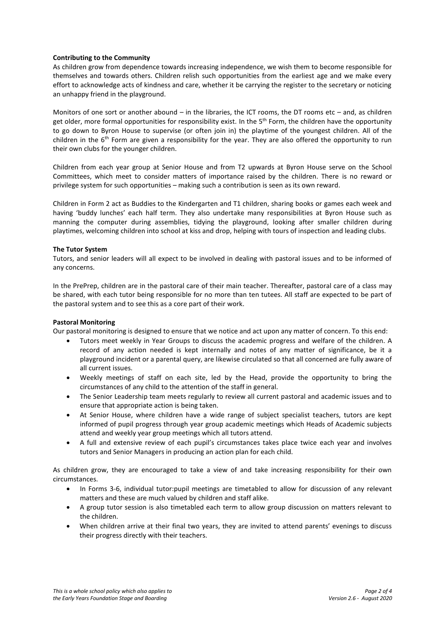## **Contributing to the Community**

As children grow from dependence towards increasing independence, we wish them to become responsible for themselves and towards others. Children relish such opportunities from the earliest age and we make every effort to acknowledge acts of kindness and care, whether it be carrying the register to the secretary or noticing an unhappy friend in the playground.

Monitors of one sort or another abound – in the libraries, the ICT rooms, the DT rooms etc – and, as children get older, more formal opportunities for responsibility exist. In the 5<sup>th</sup> Form, the children have the opportunity to go down to Byron House to supervise (or often join in) the playtime of the youngest children. All of the children in the  $6<sup>th</sup>$  Form are given a responsibility for the year. They are also offered the opportunity to run their own clubs for the younger children.

Children from each year group at Senior House and from T2 upwards at Byron House serve on the School Committees, which meet to consider matters of importance raised by the children. There is no reward or privilege system for such opportunities – making such a contribution is seen as its own reward.

Children in Form 2 act as Buddies to the Kindergarten and T1 children, sharing books or games each week and having 'buddy lunches' each half term. They also undertake many responsibilities at Byron House such as manning the computer during assemblies, tidying the playground, looking after smaller children during playtimes, welcoming children into school at kiss and drop, helping with tours of inspection and leading clubs.

### **The Tutor System**

Tutors, and senior leaders will all expect to be involved in dealing with pastoral issues and to be informed of any concerns.

In the PrePrep, children are in the pastoral care of their main teacher. Thereafter, pastoral care of a class may be shared, with each tutor being responsible for no more than ten tutees. All staff are expected to be part of the pastoral system and to see this as a core part of their work.

### **Pastoral Monitoring**

Our pastoral monitoring is designed to ensure that we notice and act upon any matter of concern. To this end:

- Tutors meet weekly in Year Groups to discuss the academic progress and welfare of the children. A record of any action needed is kept internally and notes of any matter of significance, be it a playground incident or a parental query, are likewise circulated so that all concerned are fully aware of all current issues.
- Weekly meetings of staff on each site, led by the Head, provide the opportunity to bring the circumstances of any child to the attention of the staff in general.
- The Senior Leadership team meets regularly to review all current pastoral and academic issues and to ensure that appropriate action is being taken.
- At Senior House, where children have a wide range of subject specialist teachers, tutors are kept informed of pupil progress through year group academic meetings which Heads of Academic subjects attend and weekly year group meetings which all tutors attend.
- A full and extensive review of each pupil's circumstances takes place twice each year and involves tutors and Senior Managers in producing an action plan for each child.

As children grow, they are encouraged to take a view of and take increasing responsibility for their own circumstances.

- In Forms 3-6, individual tutor:pupil meetings are timetabled to allow for discussion of any relevant matters and these are much valued by children and staff alike.
- A group tutor session is also timetabled each term to allow group discussion on matters relevant to the children.
- When children arrive at their final two years, they are invited to attend parents' evenings to discuss their progress directly with their teachers.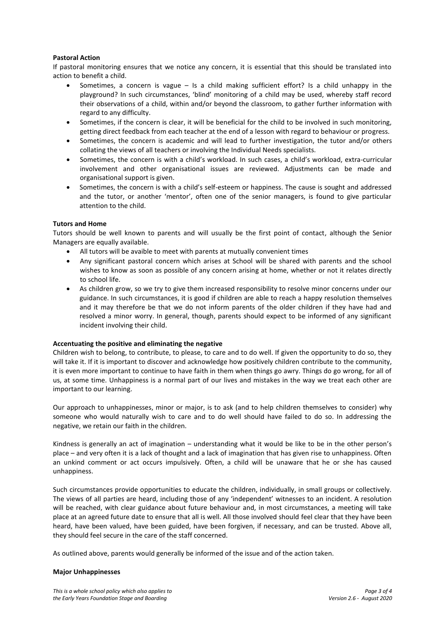### **Pastoral Action**

If pastoral monitoring ensures that we notice any concern, it is essential that this should be translated into action to benefit a child.

- Sometimes, a concern is vague Is a child making sufficient effort? Is a child unhappy in the playground? In such circumstances, 'blind' monitoring of a child may be used, whereby staff record their observations of a child, within and/or beyond the classroom, to gather further information with regard to any difficulty.
- Sometimes, if the concern is clear, it will be beneficial for the child to be involved in such monitoring, getting direct feedback from each teacher at the end of a lesson with regard to behaviour or progress.
- Sometimes, the concern is academic and will lead to further investigation, the tutor and/or others collating the views of all teachers or involving the Individual Needs specialists.
- Sometimes, the concern is with a child's workload. In such cases, a child's workload, extra-curricular involvement and other organisational issues are reviewed. Adjustments can be made and organisational support is given.
- Sometimes, the concern is with a child's self-esteem or happiness. The cause is sought and addressed and the tutor, or another 'mentor', often one of the senior managers, is found to give particular attention to the child.

### **Tutors and Home**

Tutors should be well known to parents and will usually be the first point of contact, although the Senior Managers are equally available.

- All tutors will be avaible to meet with parents at mutually convenient times
- Any significant pastoral concern which arises at School will be shared with parents and the school wishes to know as soon as possible of any concern arising at home, whether or not it relates directly to school life.
- As children grow, so we try to give them increased responsibility to resolve minor concerns under our guidance. In such circumstances, it is good if children are able to reach a happy resolution themselves and it may therefore be that we do not inform parents of the older children if they have had and resolved a minor worry. In general, though, parents should expect to be informed of any significant incident involving their child.

### **Accentuating the positive and eliminating the negative**

Children wish to belong, to contribute, to please, to care and to do well. If given the opportunity to do so, they will take it. If it is important to discover and acknowledge how positively children contribute to the community, it is even more important to continue to have faith in them when things go awry. Things do go wrong, for all of us, at some time. Unhappiness is a normal part of our lives and mistakes in the way we treat each other are important to our learning.

Our approach to unhappinesses, minor or major, is to ask (and to help children themselves to consider) why someone who would naturally wish to care and to do well should have failed to do so. In addressing the negative, we retain our faith in the children.

Kindness is generally an act of imagination – understanding what it would be like to be in the other person's place – and very often it is a lack of thought and a lack of imagination that has given rise to unhappiness. Often an unkind comment or act occurs impulsively. Often, a child will be unaware that he or she has caused unhappiness.

Such circumstances provide opportunities to educate the children, individually, in small groups or collectively. The views of all parties are heard, including those of any 'independent' witnesses to an incident. A resolution will be reached, with clear guidance about future behaviour and, in most circumstances, a meeting will take place at an agreed future date to ensure that all is well. All those involved should feel clear that they have been heard, have been valued, have been guided, have been forgiven, if necessary, and can be trusted. Above all, they should feel secure in the care of the staff concerned.

As outlined above, parents would generally be informed of the issue and of the action taken.

### **Major Unhappinesses**